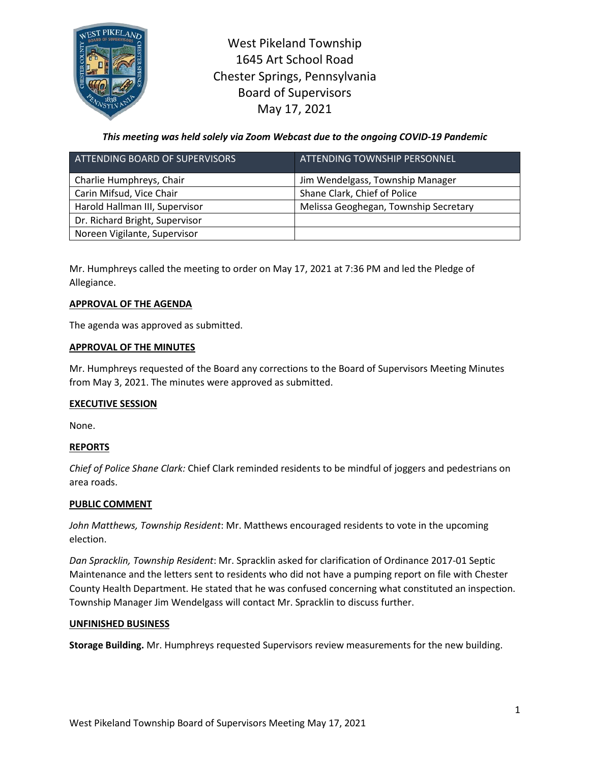

West Pikeland Township 1645 Art School Road Chester Springs, Pennsylvania Board of Supervisors May 17, 2021

*This meeting was held solely via Zoom Webcast due to the ongoing COVID-19 Pandemic*

| ATTENDING BOARD OF SUPERVISORS | ATTENDING TOWNSHIP PERSONNEL          |
|--------------------------------|---------------------------------------|
| Charlie Humphreys, Chair       | Jim Wendelgass, Township Manager      |
| Carin Mifsud, Vice Chair       | Shane Clark, Chief of Police          |
| Harold Hallman III, Supervisor | Melissa Geoghegan, Township Secretary |
| Dr. Richard Bright, Supervisor |                                       |
| Noreen Vigilante, Supervisor   |                                       |

Mr. Humphreys called the meeting to order on May 17, 2021 at 7:36 PM and led the Pledge of Allegiance.

## **APPROVAL OF THE AGENDA**

The agenda was approved as submitted.

### **APPROVAL OF THE MINUTES**

Mr. Humphreys requested of the Board any corrections to the Board of Supervisors Meeting Minutes from May 3, 2021. The minutes were approved as submitted.

## **EXECUTIVE SESSION**

None.

## **REPORTS**

*Chief of Police Shane Clark:* Chief Clark reminded residents to be mindful of joggers and pedestrians on area roads.

#### **PUBLIC COMMENT**

*John Matthews, Township Resident*: Mr. Matthews encouraged residents to vote in the upcoming election.

*Dan Spracklin, Township Resident*: Mr. Spracklin asked for clarification of Ordinance 2017-01 Septic Maintenance and the letters sent to residents who did not have a pumping report on file with Chester County Health Department. He stated that he was confused concerning what constituted an inspection. Township Manager Jim Wendelgass will contact Mr. Spracklin to discuss further.

#### **UNFINISHED BUSINESS**

**Storage Building.** Mr. Humphreys requested Supervisors review measurements for the new building.